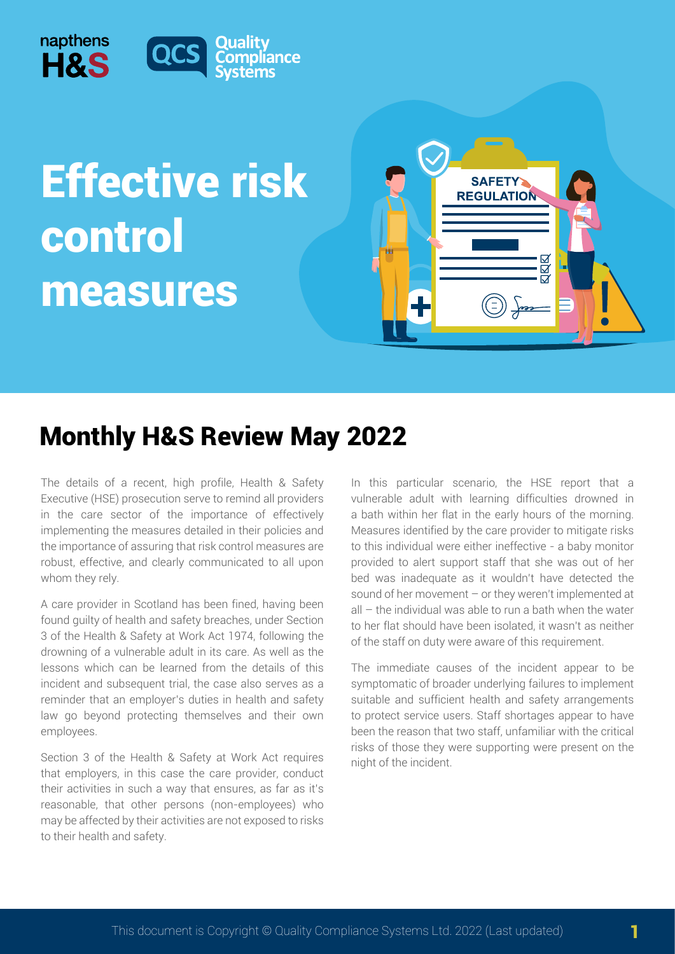

## Effective risk control measures



## Monthly H&S Review May 2022

liance

The details of a recent, high profile, Health & Safety Executive (HSE) prosecution serve to remind all providers in the care sector of the importance of effectively implementing the measures detailed in their policies and the importance of assuring that risk control measures are robust, effective, and clearly communicated to all upon whom they rely.

A care provider in Scotland has been fined, having been found guilty of health and safety breaches, under Section 3 of the Health & Safety at Work Act 1974, following the drowning of a vulnerable adult in its care. As well as the lessons which can be learned from the details of this incident and subsequent trial, the case also serves as a reminder that an employer's duties in health and safety law go beyond protecting themselves and their own employees.

Section 3 of the Health & Safety at Work Act requires that employers, in this case the care provider, conduct their activities in such a way that ensures, as far as it's reasonable, that other persons (non-employees) who may be affected by their activities are not exposed to risks to their health and safety.

In this particular scenario, the HSE report that a vulnerable adult with learning difficulties drowned in a bath within her flat in the early hours of the morning. Measures identified by the care provider to mitigate risks to this individual were either ineffective - a baby monitor provided to alert support staff that she was out of her bed was inadequate as it wouldn't have detected the sound of her movement – or they weren't implemented at all – the individual was able to run a bath when the water to her flat should have been isolated, it wasn't as neither of the staff on duty were aware of this requirement.

The immediate causes of the incident appear to be symptomatic of broader underlying failures to implement suitable and sufficient health and safety arrangements to protect service users. Staff shortages appear to have been the reason that two staff, unfamiliar with the critical risks of those they were supporting were present on the night of the incident.